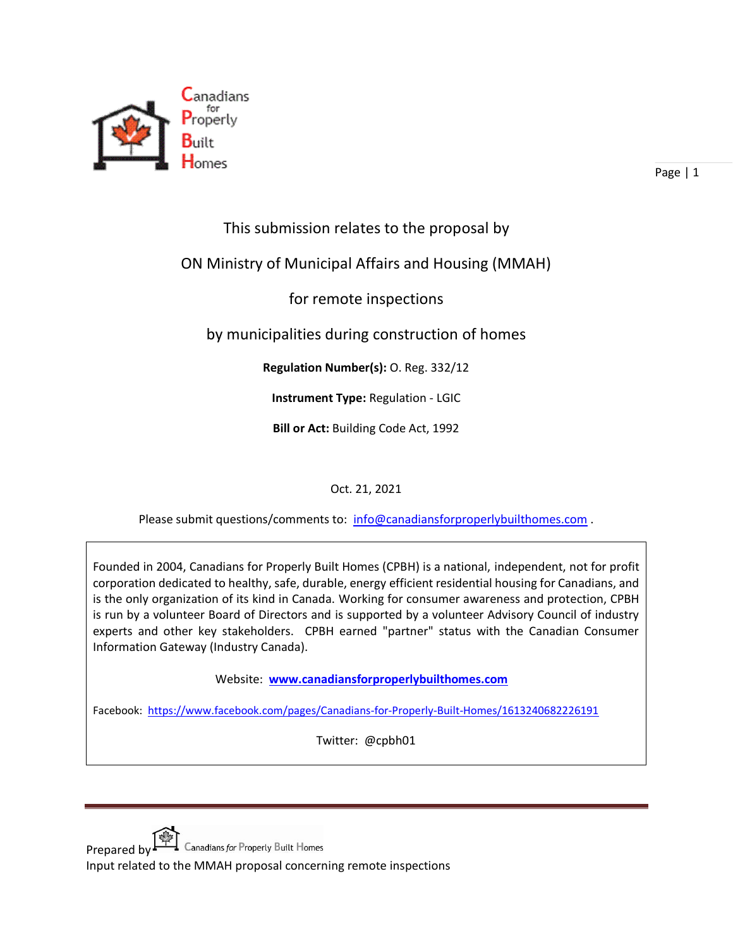

Page | 1

## This submission relates to the proposal by

## ON Ministry of Municipal Affairs and Housing (MMAH)

for remote inspections

by municipalities during construction of homes

**Regulation Number(s):** O. Reg. 332/12

**Instrument Type:** Regulation - LGIC

**Bill or Act:** Building Code Act, 1992

Oct. 21, 2021

Please submit questions/comments to: [info@canadiansforproperlybuilthomes.com](mailto:info@canadiansforproperlybuilthomes.com).

Founded in 2004, Canadians for Properly Built Homes (CPBH) is a national, independent, not for profit corporation dedicated to healthy, safe, durable, energy efficient residential housing for Canadians, and is the only organization of its kind in Canada. Working for consumer awareness and protection, CPBH is run by a volunteer Board of Directors and is supported by a volunteer Advisory Council of industry experts and other key stakeholders. CPBH earned "partner" status with the Canadian Consumer Information Gateway (Industry Canada).

Website: **[www.canadiansforproperlybuilthomes.com](http://www.canadiansforproperlybuilthomes.com/)**

Facebook: <https://www.facebook.com/pages/Canadians-for-Properly-Built-Homes/1613240682226191>

Twitter: @cpbh01

Prepared by FT Canadians for Properly Built Homes Input related to the MMAH proposal concerning remote inspections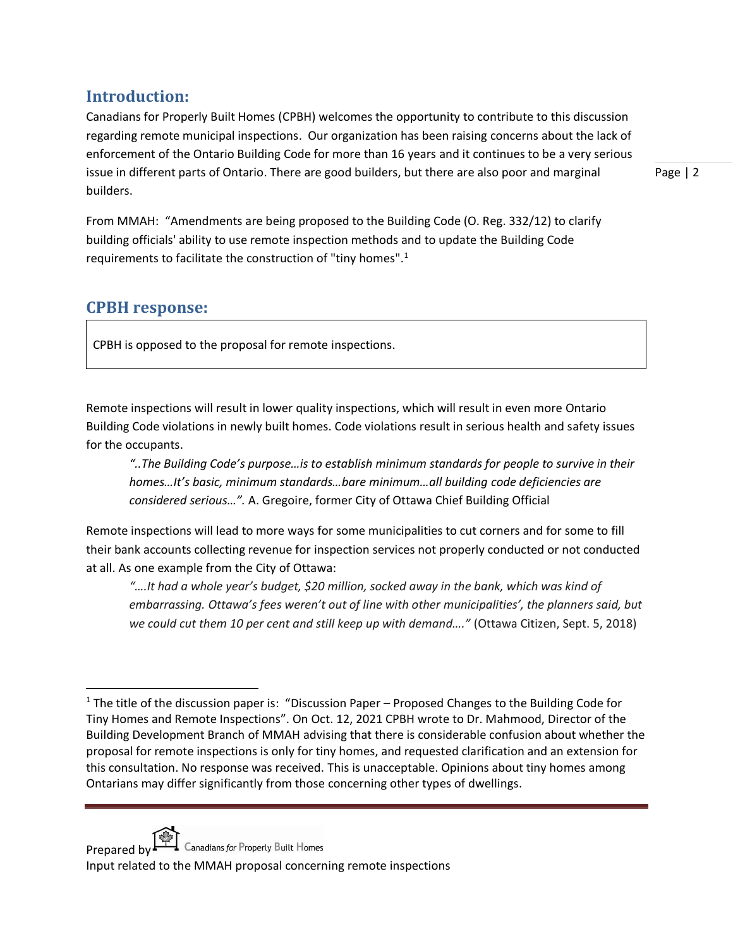## **Introduction:**

Canadians for Properly Built Homes (CPBH) welcomes the opportunity to contribute to this discussion regarding remote municipal inspections. Our organization has been raising concerns about the lack of enforcement of the Ontario Building Code for more than 16 years and it continues to be a very serious issue in different parts of Ontario. There are good builders, but there are also poor and marginal builders.

Page | 2

From MMAH: "Amendments are being proposed to the Building Code (O. Reg. 332/12) to clarify building officials' ability to use remote inspection methods and to update the Building Code requirements to facilitate the construction of "tiny homes".<sup>1</sup>

## **CPBH response:**

CPBH is opposed to the proposal for remote inspections.

Remote inspections will result in lower quality inspections, which will result in even more Ontario Building Code violations in newly built homes. Code violations result in serious health and safety issues for the occupants.

*"..The Building Code's purpose…is to establish minimum standards for people to survive in their homes…It's basic, minimum standards…bare minimum…all building code deficiencies are considered serious…".* A. Gregoire, former City of Ottawa Chief Building Official

Remote inspections will lead to more ways for some municipalities to cut corners and for some to fill their bank accounts collecting revenue for inspection services not properly conducted or not conducted at all. As one example from the City of Ottawa:

*"….It had a whole year's budget, \$20 million, socked away in the bank, which was kind of embarrassing. Ottawa's fees weren't out of line with other municipalities', the planners said, but we could cut them 10 per cent and still keep up with demand…."* (Ottawa Citizen, Sept. 5, 2018)

<sup>&</sup>lt;sup>1</sup> The title of the discussion paper is: "Discussion Paper – Proposed Changes to the Building Code for Tiny Homes and Remote Inspections". On Oct. 12, 2021 CPBH wrote to Dr. Mahmood, Director of the Building Development Branch of MMAH advising that there is considerable confusion about whether the proposal for remote inspections is only for tiny homes, and requested clarification and an extension for this consultation. No response was received. This is unacceptable. Opinions about tiny homes among Ontarians may differ significantly from those concerning other types of dwellings.



Prepared by  $\Box$  Canadians for Properly Built Homes

Input related to the MMAH proposal concerning remote inspections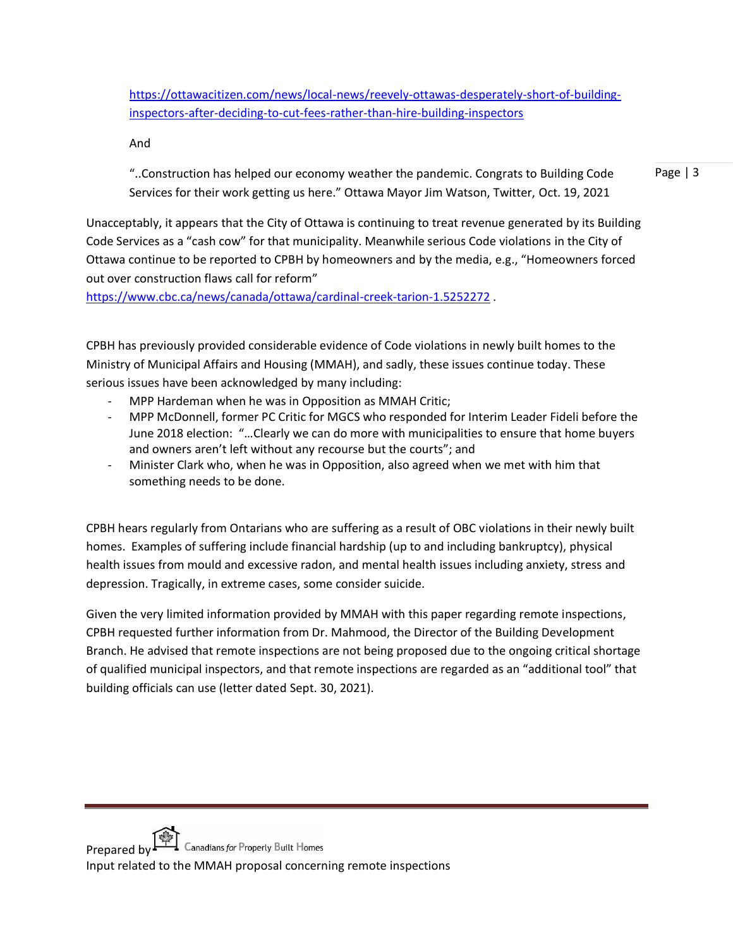[https://ottawacitizen.com/news/local-news/reevely-ottawas-desperately-short-of-building](https://ottawacitizen.com/news/local-news/reevely-ottawas-desperately-short-of-building-inspectors-after-deciding-to-cut-fees-rather-than-hire-building-inspectors)[inspectors-after-deciding-to-cut-fees-rather-than-hire-building-inspectors](https://ottawacitizen.com/news/local-news/reevely-ottawas-desperately-short-of-building-inspectors-after-deciding-to-cut-fees-rather-than-hire-building-inspectors)

And

Page | 3 "..Construction has helped our economy weather the pandemic. Congrats to Building Code Services for their work getting us here." Ottawa Mayor Jim Watson, Twitter, Oct. 19, 2021

Unacceptably, it appears that the City of Ottawa is continuing to treat revenue generated by its Building Code Services as a "cash cow" for that municipality. Meanwhile serious Code violations in the City of Ottawa continue to be reported to CPBH by homeowners and by the media, e.g., "Homeowners forced out over construction flaws call for reform"

<https://www.cbc.ca/news/canada/ottawa/cardinal-creek-tarion-1.5252272> .

CPBH has previously provided considerable evidence of Code violations in newly built homes to the Ministry of Municipal Affairs and Housing (MMAH), and sadly, these issues continue today. These serious issues have been acknowledged by many including:

- MPP Hardeman when he was in Opposition as MMAH Critic;
- MPP McDonnell, former PC Critic for MGCS who responded for Interim Leader Fideli before the June 2018 election: "…Clearly we can do more with municipalities to ensure that home buyers and owners aren't left without any recourse but the courts"; and
- Minister Clark who, when he was in Opposition, also agreed when we met with him that something needs to be done.

CPBH hears regularly from Ontarians who are suffering as a result of OBC violations in their newly built homes. Examples of suffering include financial hardship (up to and including bankruptcy), physical health issues from mould and excessive radon, and mental health issues including anxiety, stress and depression. Tragically, in extreme cases, some consider suicide.

Given the very limited information provided by MMAH with this paper regarding remote inspections, CPBH requested further information from Dr. Mahmood, the Director of the Building Development Branch. He advised that remote inspections are not being proposed due to the ongoing critical shortage of qualified municipal inspectors, and that remote inspections are regarded as an "additional tool" that building officials can use (letter dated Sept. 30, 2021).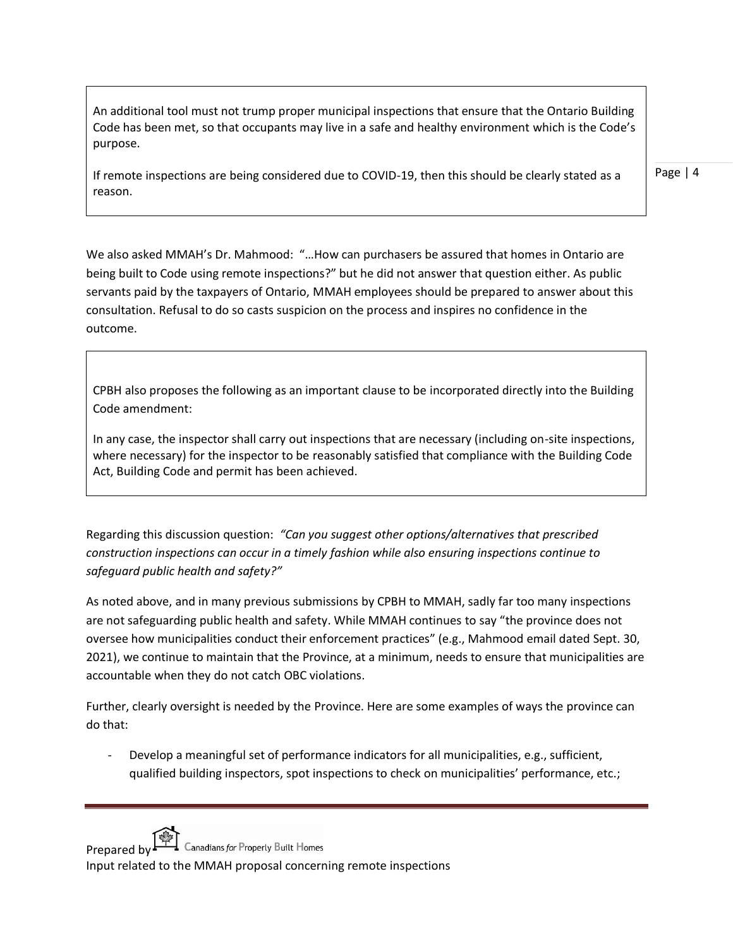An additional tool must not trump proper municipal inspections that ensure that the Ontario Building Code has been met, so that occupants may live in a safe and healthy environment which is the Code's purpose.

If remote inspections are being considered due to COVID-19, then this should be clearly stated as a reason.

Page | 4

We also asked MMAH's Dr. Mahmood: "…How can purchasers be assured that homes in Ontario are being built to Code using remote inspections?" but he did not answer that question either. As public servants paid by the taxpayers of Ontario, MMAH employees should be prepared to answer about this consultation. Refusal to do so casts suspicion on the process and inspires no confidence in the outcome.

CPBH also proposes the following as an important clause to be incorporated directly into the Building Code amendment:

In any case, the inspector shall carry out inspections that are necessary (including on-site inspections, where necessary) for the inspector to be reasonably satisfied that compliance with the Building Code Act, Building Code and permit has been achieved.

Regarding this discussion question: *"Can you suggest other options/alternatives that prescribed construction inspections can occur in a timely fashion while also ensuring inspections continue to safeguard public health and safety?"* 

As noted above, and in many previous submissions by CPBH to MMAH, sadly far too many inspections are not safeguarding public health and safety. While MMAH continues to say "the province does not oversee how municipalities conduct their enforcement practices" (e.g., Mahmood email dated Sept. 30, 2021), we continue to maintain that the Province, at a minimum, needs to ensure that municipalities are accountable when they do not catch OBC violations.

Further, clearly oversight is needed by the Province. Here are some examples of ways the province can do that:

Develop a meaningful set of performance indicators for all municipalities, e.g., sufficient, qualified building inspectors, spot inspections to check on municipalities' performance, etc.;

Prepared by  $\Box$  Canadians for Properly Built Homes

Input related to the MMAH proposal concerning remote inspections